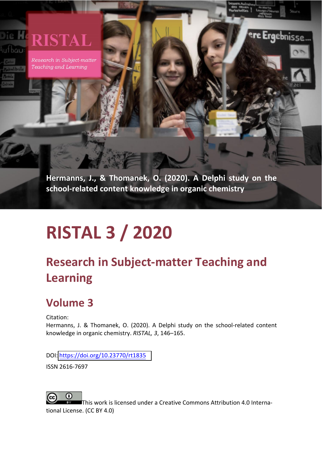### **RISTAL** ufbau

Research in Subject-matter Teaching and Learning

> **Hermanns, J., & Thomanek, O. (2020). A Delphi study on the school-related content knowledge in organic chemistry**

'**e Erg**ebnisse

# **RISTAL 3 / 2020**

# **Research in Subject-matter Teaching and Learning**

# **Volume 3**

Citation:

Hermanns, J. & Thomanek, O. (2020). A Delphi study on the school-related content knowledge in organic chemistry. *RISTAL, 3*, 146–165.

DOI: [https://doi.org/10.23770/](https://doi.org/10.23770/RT1835)rt1835

ISSN 2616-7697



This work is licensed under a Creative Commons Attribution 4.0 International License. (CC BY 4.0)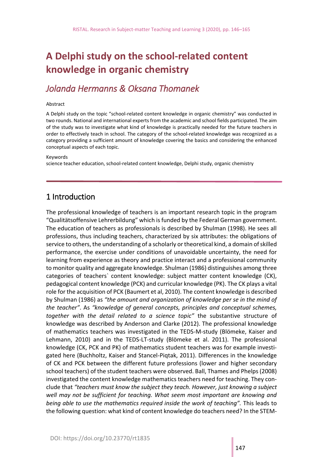## **A Delphi study on the school-related content knowledge in organic chemistry**

#### *Jolanda Hermanns & Oksana Thomanek*

#### Abstract

A Delphi study on the topic "school-related content knowledge in organic chemistry" was conducted in two rounds. National and international experts from the academic and school fields participated. The aim of the study was to investigate what kind of knowledge is practically needed for the future teachers in order to effectively teach in school. The category of the school-related knowledge was recognized as a category providing a sufficient amount of knowledge covering the basics and considering the enhanced conceptual aspects of each topic.

#### Keywords

science teacher education, school-related content knowledge, Delphi study, organic chemistry

#### 1 Introduction

The professional knowledge of teachers is an important research topic in the program "Qualitätsoffensive Lehrerbildung" which is funded by the Federal German government. The education of teachers as professionals is described by Shulman (1998). He sees all professions, thus including teachers, characterized by six attributes: the obligations of service to others, the understanding of a scholarly or theoretical kind, a domain of skilled performance, the exercise under conditions of unavoidable uncertainty, the need for learning from experience as theory and practice interact and a professional community to monitor quality and aggregate knowledge. Shulman (1986) distinguishes among three categories of teachers` content knowledge: subject matter content knowledge (CK), pedagogical content knowledge (PCK) and curricular knowledge (PK). The CK plays a vital role for the acquisition of PCK (Baumert et al, 2010). The content knowledge is described by Shulman (1986) as *"the amount and organization of knowledge per se in the mind of the teacher"*. As *"knowledge of general concepts, principles and conceptual schemes, together with the detail related to a science topic"* the substantive structure of knowledge was described by Anderson and Clarke (2012). The professional knowledge of mathematics teachers was investigated in the TEDS-M-study (Blömeke, Kaiser and Lehmann, 2010) and in the TEDS-LT-study (Blömeke et al. 2011). The professional knowledge (CK, PCK and PK) of mathematics student teachers was for example investigated here (Buchholtz, Kaiser and Stancel-Piqtak, 2011). Differences in the knowledge of CK and PCK between the different future professions (lower and higher secondary school teachers) of the student teachers were observed. Ball, Thames and Phelps (2008) investigated the content knowledge mathematics teachers need for teaching. They conclude that *"teachers must know the subject they teach. However, just knowing a subject well may not be sufficient for teaching. What seem most important are knowing and being able to use the mathematics required inside the work of teaching".* This leads to the following question: what kind of content knowledge do teachers need? In the STEM-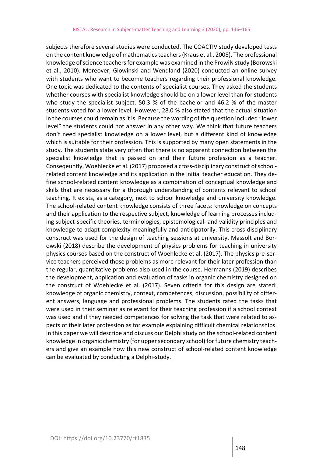subjects therefore several studies were conducted. The COACTIV study developed tests on the content knowledge of mathematics teachers (Kraus et al., 2008). The professional knowledge of science teachers for example was examined in the ProwiN study (Borowski et al., 2010). Moreover, Glowinski and Wendland (2020) conducted an online survey with students who want to become teachers regarding their professional knowledge. One topic was dedicated to the contents of specialist courses. They asked the students whether courses with specialist knowledge should be on a lower level than for students who study the specialist subject. 50.3 % of the bachelor and 46.2 % of the master students voted for a lower level. However, 28.0 % also stated that the actual situation in the courses could remain as it is. Because the wording of the question included "lower level" the students could not answer in any other way. We think that future teachers don't need specialist knowledge on a lower level, but a different kind of knowledge which is suitable for their profession. This is supported by many open statements in the study. The students state very often that there is no apparent connection between the specialist knowledge that is passed on and their future profession as a teacher. Conseqeuntly, Woehlecke et al. (2017) proposed a cross-disciplinary construct of schoolrelated content knowledge and its application in the initial teacher education. They define school-related content knowledge as a combination of conceptual knowledge and skills that are necessary for a thorough understanding of contents relevant to school teaching. It exists, as a category, next to school knowledge and university knowledge. The school-related content knowledge consists of three facets: knowledge on concepts and their application to the respective subject, knowledge of learning processes including subject-specific theories, terminologies, epistemological- and validity principles and knowledge to adapt complexity meaningfully and anticipatorily. This cross-disciplinary construct was used for the design of teaching sessions at university. Massolt and Borowski (2018) describe the development of physics problems for teaching in university physics courses based on the construct of Woehlecke et al. (2017). The physics pre-service teachers perceived those problems as more relevant for their later profession than the regular, quantitative problems also used in the course. Hermanns (2019) describes the development, application and evaluation of tasks in organic chemistry designed on the construct of Woehlecke et al. (2017). Seven criteria for this design are stated: knowledge of organic chemistry, context, competences, discussion, possibility of different answers, language and professional problems. The students rated the tasks that were used in their seminar as relevant for their teaching profession if a school context was used and if they needed competences for solving the task that were related to aspects of their later profession as for example explaining difficult chemical relationships. In this paper we will describe and discuss our Delphi study on the school-related content knowledge in organic chemistry (for upper secondary school) for future chemistry teachers and give an example how this new construct of school-related content knowledge can be evaluated by conducting a Delphi-study.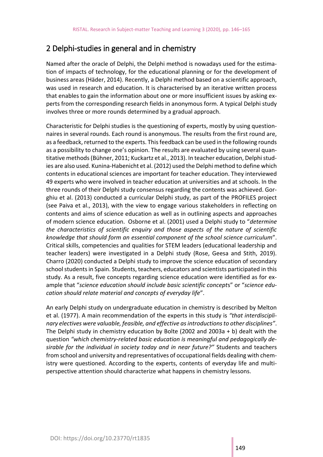#### 2 Delphi-studies in general and in chemistry

Named after the oracle of Delphi, the Delphi method is nowadays used for the estimation of impacts of technology, for the educational planning or for the development of business areas (Häder, 2014). Recently, a Delphi method based on a scientific approach, was used in research and education. It is characterised by an iterative written process that enables to gain the information about one or more insufficient issues by asking experts from the corresponding research fields in anonymous form. A typical Delphi study involves three or more rounds determined by a gradual approach.

Characteristic for Delphi studies is the questioning of experts, mostly by using questionnaires in several rounds. Each round is anonymous. The results from the first round are, as a feedback, returned to the experts. This feedback can be used in the following rounds as a possibility to change one's opinion. The results are evaluated by using several quantitative methods (Bühner, 2011; Kuckartz et al., 2013). In teacher education, Delphi studies are also used. Kunina-Habenicht et al. (2012) used the Delphi method to define which contents in educational sciences are important for teacher education. They interviewed 49 experts who were involved in teacher education at universities and at schools. In the three rounds of their Delphi study consensus regarding the contents was achieved. Gorghiu et al. (2013) conducted a curricular Delphi study, as part of the PROFILES project (see Paiva et al., 2013), with the view to engage various stakeholders in reflecting on contents and aims of science education as well as in outlining aspects and approaches of modern science education. Osborne et al. (2001) used a Delphi study to "*determine the characteristics of scientific enquiry and those aspects of the nature of scientific knowledge that should form an essential component of the school science curriculum*". Critical skills, competencies and qualities for STEM leaders (educational leadership and teacher leaders) were investigated in a Delphi study (Rose, Geesa and Stith, 2019). Charro (2020) conducted a Delphi study to improve the science education of secondary school students in Spain. Students, teachers, educators and scientists participated in this study. As a result, five concepts regarding science education were identified as for example that "*science education should include basic scientific concept*s" or "*science education should relate material and concepts of everyday life*".

An early Delphi study on undergraduate education in chemistry is described by Melton et al. (1977). A main recommendation of the experts in this study is *"that interdisciplinary electives were valuable, feasible, and effective as introductions to other disciplines"*. The Delphi study in chemistry education by Bolte (2002 and 2003a + b) dealt with the question *"which chemistry-related basic education is meaningful and pedagogically desirable for the individual in society today and in near future?"* Students and teachers from school and university and representatives of occupational fields dealing with chemistry were questioned. According to the experts, contents of everyday life and multiperspective attention should characterize what happens in chemistry lessons.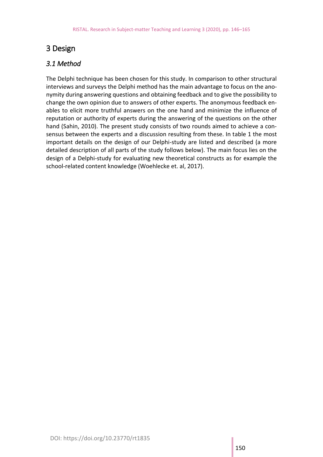#### 3 Design

#### *3.1 Method*

The Delphi technique has been chosen for this study. In comparison to other structural interviews and surveys the Delphi method has the main advantage to focus on the anonymity during answering questions and obtaining feedback and to give the possibility to change the own opinion due to answers of other experts. The anonymous feedback enables to elicit more truthful answers on the one hand and minimize the influence of reputation or authority of experts during the answering of the questions on the other hand (Sahin, 2010). The present study consists of two rounds aimed to achieve a consensus between the experts and a discussion resulting from these. In table 1 the most important details on the design of our Delphi-study are listed and described (a more detailed description of all parts of the study follows below). The main focus lies on the design of a Delphi-study for evaluating new theoretical constructs as for example the school-related content knowledge (Woehlecke et. al, 2017).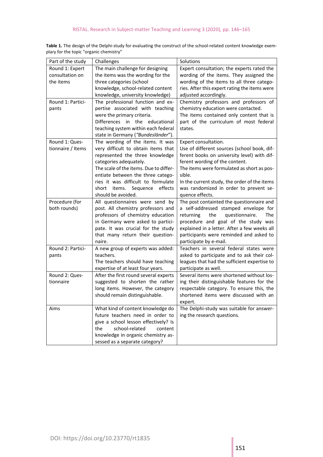| Part of the study | Challenges                             | Solutions                                     |
|-------------------|----------------------------------------|-----------------------------------------------|
| Round 1: Expert   | The main challenge for designing       | Expert consultation; the experts rated the    |
| consultation on   | the items was the wording for the      | wording of the items. They assigned the       |
| the items         | three categories (school               | wording of the items to all three catego-     |
|                   | knowledge, school-related content      | ries. After this expert rating the items were |
|                   | knowledge, university knowledge)       | adjusted accordingly.                         |
| Round 1: Partici- | The professional function and ex-      | Chemistry professors and professors of        |
| pants             | pertise associated with teaching       | chemistry education were contacted.           |
|                   | were the primary criteria.             | The items contained only content that is      |
|                   | Differences in the educational         | part of the curriculum of most federal        |
|                   | teaching system within each federal    | states.                                       |
|                   | state in Germany ("Bundesländer").     |                                               |
| Round 1: Ques-    | The wording of the items. It was       | Expert consultation.                          |
| tionnaire / Items | very difficult to obtain items that    | Use of different sources (school book, dif-   |
|                   | represented the three knowledge        | ferent books on university level) with dif-   |
|                   | categories adequately.                 | ferent wording of the content.                |
|                   | The scale of the items. Due to differ- | The items were formulated as short as pos-    |
|                   | entiate between the three catego-      | sible.                                        |
|                   | ries it was difficult to formulate     | In the current study, the order of the items  |
|                   | effects<br>short<br>items.<br>Sequence | was randomized in order to prevent se-        |
|                   | should be avoided.                     | quence effects.                               |
| Procedure (for    | All questionnaires were send by        | The post containted the questionnaire and     |
| both rounds)      | post. All chemistry professors and     | a self-addressed stamped envelope for         |
|                   | professors of chemistry education      | the<br>questionnaire.<br>The<br>returning     |
|                   | in Germany were asked to partici-      | procedure and goal of the study was           |
|                   | pate. It was crucial for the study     | explained in a letter. After a few weeks all  |
|                   | that many return their question-       | participants were reminded and asked to       |
|                   | naire.                                 | participate by e-mail.                        |
| Round 2: Partici- | A new group of experts was added:      | Teachers in several federal states were       |
| pants             | teachers.                              | asked to participate and to ask their col-    |
|                   | The teachers should have teaching      | leagues that had the sufficient expertise to  |
|                   | expertise of at least four years.      | participate as well.                          |
| Round 2: Ques-    | After the first round several experts  | Several items were shortened without los-     |
| tionnaire         | suggested to shorten the rather        | ing their distinguishable features for the    |
|                   | long items. However, the category      | respectable category. To ensure this, the     |
|                   | should remain distinguishable.         | shortened items were discussed with an        |
|                   |                                        | expert.                                       |
| Aims              | What kind of content knowledge do      | The Delphi-study was suitable for answer-     |
|                   | future teachers need in order to       | ing the research questions.                   |
|                   | give a school lesson effectively? Is   |                                               |
|                   | school-related<br>the<br>content       |                                               |
|                   | knowledge in organic chemistry as-     |                                               |
|                   | sessed as a separate category?         |                                               |

**Table 1.** The design of the Delphi-study for evaluating the construct of the school-related content knowledge exemplary for the topic "organic chemistry"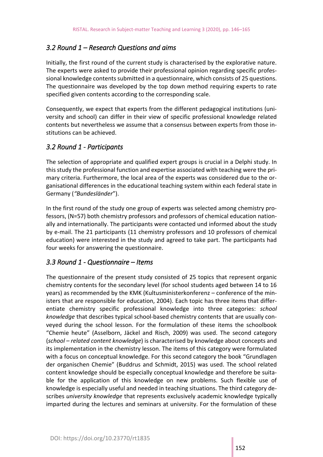#### *3.2 Round 1 – Research Questions and aims*

Initially, the first round of the current study is characterised by the explorative nature. The experts were asked to provide their professional opinion regarding specific professional knowledge contents submitted in a questionnaire, which consists of 25 questions. The questionnaire was developed by the top down method requiring experts to rate specified given contents according to the corresponding scale.

Consequently, we expect that experts from the different pedagogical institutions (university and school) can differ in their view of specific professional knowledge related contents but nevertheless we assume that a consensus between experts from those institutions can be achieved.

#### *3.2 Round 1 - Participants*

The selection of appropriate and qualified expert groups is crucial in a Delphi study. In this study the professional function and expertise associated with teaching were the primary criteria. Furthermore, the local area of the experts was considered due to the organisational differences in the educational teaching system within each federal state in Germany (*"Bundesländer*").

In the first round of the study one group of experts was selected among chemistry professors, (N=57) both chemistry professors and professors of chemical education nationally and internationally. The participants were contacted und informed about the study by e-mail. The 21 participants (11 chemistry professors and 10 professors of chemical education) were interested in the study and agreed to take part. The participants had four weeks for answering the questionnaire.

#### *3.3 Round 1 - Questionnaire – Items*

The questionnaire of the present study consisted of 25 topics that represent organic chemistry contents for the secondary level (for school students aged between 14 to 16 years) as recommended by the KMK (Kultusministerkonferenz – conference of the ministers that are responsible for education, 2004). Each topic has three items that differentiate chemistry specific professional knowledge into three categories: *school knowledge* that describes typical school-based chemistry contents that are usually conveyed during the school lesson. For the formulation of these items the schoolbook "Chemie heute" (Asselborn, Jäckel and Risch, 2009) was used. The second category (*school – related content knowledge*) is characterised by knowledge about concepts and its implementation in the chemistry lesson. The items of this category were formulated with a focus on conceptual knowledge. For this second category the book "Grundlagen der organischen Chemie" (Buddrus and Schmidt, 2015) was used. The school related content knowledge should be especially conceptual knowledge and therefore be suitable for the application of this knowledge on new problems. Such flexible use of knowledge is especially useful and needed in teaching situations. The third category describes *university knowledge* that represents exclusively academic knowledge typically imparted during the lectures and seminars at university. For the formulation of these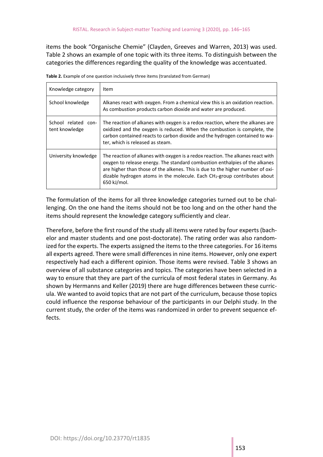items the book "Organische Chemie" (Clayden, Greeves and Warren, 2013) was used. Table 2 shows an example of one topic with its three items. To distinguish between the categories the differences regarding the quality of the knowledge was accentuated.

| Knowledge category                    | Item                                                                                                                                                                                                                                                                                                                                           |
|---------------------------------------|------------------------------------------------------------------------------------------------------------------------------------------------------------------------------------------------------------------------------------------------------------------------------------------------------------------------------------------------|
| School knowledge                      | Alkanes react with oxygen. From a chemical view this is an oxidation reaction.<br>As combustion products carbon dioxide and water are produced.                                                                                                                                                                                                |
| School related con-<br>tent knowledge | The reaction of alkanes with oxygen is a redox reaction, where the alkanes are<br>oxidized and the oxygen is reduced. When the combustion is complete, the<br>carbon contained reacts to carbon dioxide and the hydrogen contained to wa-<br>ter, which is released as steam.                                                                  |
| University knowledge                  | The reaction of alkanes with oxygen is a redox reaction. The alkanes react with<br>oxygen to release energy. The standard combustion enthalpies of the alkanes<br>are higher than those of the alkenes. This is due to the higher number of oxi-<br>dizable hydrogen atoms in the molecule. Each $CH2$ -group contributes about<br>650 kJ/mol. |

**Table 2.** Example of one question inclusively three items (translated from German)

The formulation of the items for all three knowledge categories turned out to be challenging. On the one hand the items should not be too long and on the other hand the items should represent the knowledge category sufficiently and clear.

Therefore, before the first round of the study all items were rated by four experts (bachelor and master students and one post-doctorate). The rating order was also randomized for the experts. The experts assigned the items to the three categories. For 16 items all experts agreed. There were small differences in nine items. However, only one expert respectively had each a different opinion. Those items were revised. Table 3 shows an overview of all substance categories and topics. The categories have been selected in a way to ensure that they are part of the curricula of most federal states in Germany. As shown by Hermanns and Keller (2019) there are huge differences between these curricula. We wanted to avoid topics that are not part of the curriculum, because those topics could influence the response behaviour of the participants in our Delphi study. In the current study, the order of the items was randomized in order to prevent sequence effects.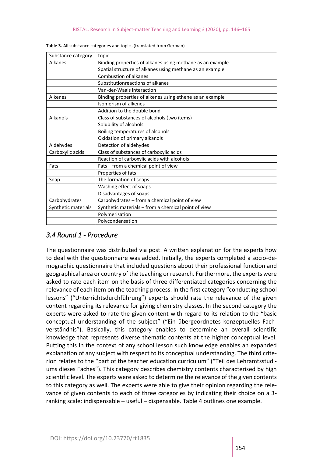| Substance category  | topic                                                     |
|---------------------|-----------------------------------------------------------|
| Alkanes             | Binding properties of alkanes using methane as an example |
|                     | Spatial structure of alkanes using methane as an example  |
|                     | <b>Combustion of alkanes</b>                              |
|                     | Substitutionreactions of alkanes                          |
|                     | Van-der-Waals interaction                                 |
| <b>Alkenes</b>      | Binding properties of alkenes using ethene as an example  |
|                     | Isomerism of alkenes                                      |
|                     | Addition to the double bond                               |
| Alkanols            | Class of substances of alcohols (two items)               |
|                     | Solubility of alcohols                                    |
|                     | Boiling temperatures of alcohols                          |
|                     | Oxidation of primary alkanols                             |
| Aldehydes           | Detection of aldehydes                                    |
| Carboxylic acids    | Class of substances of carboxylic acids                   |
|                     | Reaction of carboxylic acids with alcohols                |
| Fats                | Fats - from a chemical point of view                      |
|                     | Properties of fats                                        |
| Soap                | The formation of soaps                                    |
|                     | Washing effect of soaps                                   |
|                     | Disadvantages of soaps                                    |
| Carbohydrates       | Carbohydrates - from a chemical point of view             |
| Synthetic materials | Synthetic materials - from a chemical point of view       |
|                     | Polymerisation                                            |
|                     | Polycondensation                                          |

| Table 3. All substance categories and topics (translated from German) |  |
|-----------------------------------------------------------------------|--|
|-----------------------------------------------------------------------|--|

#### *3.4 Round 1 - Procedure*

The questionnaire was distributed via post. A written explanation for the experts how to deal with the questionnaire was added. Initially, the experts completed a socio-demographic questionnaire that included questions about their professional function and geographical area or country of the teaching or research. Furthermore, the experts were asked to rate each item on the basis of three differentiated categories concerning the relevance of each item on the teaching process. In the first category "conducting school lessons" ("Unterrichtsdurchführung") experts should rate the relevance of the given content regarding its relevance for giving chemistry classes. In the second category the experts were asked to rate the given content with regard to its relation to the "basic conceptual understanding of the subject" ("Ein übergeordnetes konzeptuelles Fachverständnis"). Basically, this category enables to determine an overall scientific knowledge that represents diverse thematic contents at the higher conceptual level. Putting this in the context of any school lesson such knowledge enables an expanded explanation of any subject with respect to its conceptual understanding. The third criterion relates to the "part of the teacher education curriculum" ("Teil des Lehramtsstudiums dieses Faches"). This category describes chemistry contents characterised by high scientific level. The experts were asked to determine the relevance of the given contents to this category as well. The experts were able to give their opinion regarding the relevance of given contents to each of three categories by indicating their choice on a 3 ranking scale: indispensable – useful – dispensable. Table 4 outlines one example.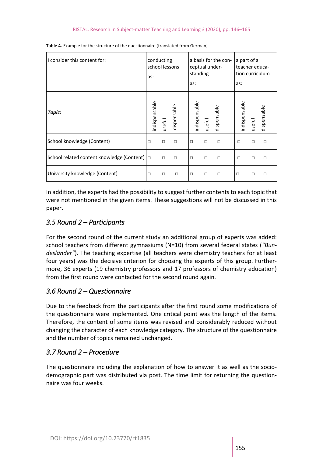| I consider this content for:               | conducting<br>school lessons<br>as: |        | as:         | a basis for the con-<br>ceptual under-<br>standing |        | a part of a<br>teacher educa-<br>tion curriculum<br>as: |              |        |             |
|--------------------------------------------|-------------------------------------|--------|-------------|----------------------------------------------------|--------|---------------------------------------------------------|--------------|--------|-------------|
| Topic:                                     | ndispensable                        | useful | dispensable | ndispensable                                       | useful | dispensable                                             | ndispensable | useful | dispensable |
| School knowledge (Content)                 | $\Box$                              | $\Box$ | $\Box$      | $\Box$                                             | $\Box$ | $\Box$                                                  | П            | П      | $\Box$      |
| School related content knowledge (Content) | $\Box$                              | $\Box$ | $\Box$      | $\Box$                                             | $\Box$ | $\Box$                                                  | $\Box$       | П      | П           |
| University knowledge (Content)             | $\Box$                              | □      | $\Box$      | $\Box$                                             | $\Box$ | $\Box$                                                  | □            | П      | П           |

**Table 4.** Example for the structure of the questionnaire (translated from German)

In addition, the experts had the possibility to suggest further contents to each topic that were not mentioned in the given items. These suggestions will not be discussed in this paper.

#### *3.5 Round 2 – Participants*

For the second round of the current study an additional group of experts was added: school teachers from different gymnasiums (N=10) from several federal states (*"Bundesländer"*). The teaching expertise (all teachers were chemistry teachers for at least four years) was the decisive criterion for choosing the experts of this group. Furthermore, 36 experts (19 chemistry professors and 17 professors of chemistry education) from the first round were contacted for the second round again.

#### *3.6 Round 2 – Questionnaire*

Due to the feedback from the participants after the first round some modifications of the questionnaire were implemented. One critical point was the length of the items. Therefore, the content of some items was revised and considerably reduced without changing the character of each knowledge category. The structure of the questionnaire and the number of topics remained unchanged.

#### *3.7 Round 2 – Procedure*

The questionnaire including the explanation of how to answer it as well as the sociodemographic part was distributed via post. The time limit for returning the questionnaire was four weeks.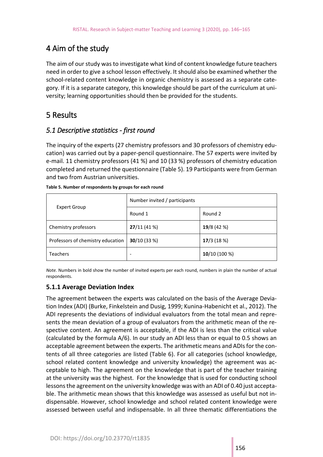#### 4 Aim of the study

The aim of our study was to investigate what kind of content knowledge future teachers need in order to give a school lesson effectively. It should also be examined whether the school-related content knowledge in organic chemistry is assessed as a separate category. If it is a separate category, this knowledge should be part of the curriculum at university; learning opportunities should then be provided for the students.

#### 5 Results

#### *5.1 Descriptive statistics - first round*

The inquiry of the experts (27 chemistry professors and 30 professors of chemistry education) was carried out by a paper-pencil questionnaire. The 57 experts were invited by e-mail. 11 chemistry professors (41 %) and 10 (33 %) professors of chemistry education completed and returned the questionnaire (Table 5). 19 Participants were from German and two from Austrian universities.

|                                   | Number invited / participants |             |  |  |  |
|-----------------------------------|-------------------------------|-------------|--|--|--|
| <b>Expert Group</b>               | Round 1                       | Round 2     |  |  |  |
| Chemistry professors              | 27/11(41%)                    | 19/8 (42 %) |  |  |  |
| Professors of chemistry education | 30/10(33%)                    | 17/3(18%)   |  |  |  |
| <b>Teachers</b>                   | ٠                             | 10/10(100%) |  |  |  |

|  |  | Table 5. Number of respondents by groups for each round |
|--|--|---------------------------------------------------------|
|  |  |                                                         |

*Note.* Numbers in bold show the number of invited experts per each round, numbers in plain the number of actual respondents.

#### **5.1.1 Average Deviation Index**

The agreement between the experts was calculated on the basis of the Average Deviation Index (ADI) (Burke, Finkelstein and Dusig, 1999; Kunina-Habenicht et al., 2012). The ADI represents the deviations of individual evaluators from the total mean and represents the mean deviation of a group of evaluators from the arithmetic mean of the respective content. An agreement is acceptable, if the ADI is less than the critical value (calculated by the formula A/6). In our study an ADI less than or equal to 0.5 shows an acceptable agreement between the experts. The arithmetic means and ADIs for the contents of all three categories are listed (Table 6). For all categories (school knowledge, school related content knowledge and university knowledge) the agreement was acceptable to high. The agreement on the knowledge that is part of the teacher training at the university was the highest. For the knowledge that is used for conducting school lessons the agreement on the university knowledge was with an ADI of 0.40 just acceptable. The arithmetic mean shows that this knowledge was assessed as useful but not indispensable. However, school knowledge and school related content knowledge were assessed between useful and indispensable. In all three thematic differentiations the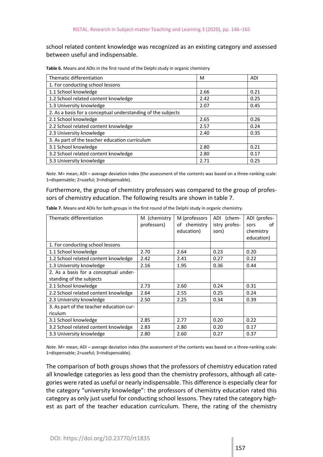school related content knowledge was recognized as an existing category and assessed between useful and indispensable.

| Thematic differentiation                                     | M    | ADI  |
|--------------------------------------------------------------|------|------|
| 1. For conducting school lessons                             |      |      |
| 1.1 School knowledge                                         | 2.66 | 0.21 |
| 1.2 School related content knowledge                         | 2.42 | 0.25 |
| 1.3 University knowledge                                     | 2.07 | 0.45 |
| 2. As a basis for a conceptual understanding of the subjects |      |      |
| 2.1 School knowledge                                         | 2.65 | 0.26 |
| 2.2 School related content knowledge                         | 2.57 | 0.24 |
| 2.3 University knowledge                                     | 2.40 | 0.35 |
| 3. As part of the teacher education curriculum               |      |      |
| 3.1 School knowledge                                         | 2.80 | 0.21 |
| 3.2 School related content knowledge                         | 2.80 | 0.17 |
| 3.3 University knowledge                                     | 2.71 | 0.25 |

**Table 6.** Means and ADIs in the first round of the Delphi study in organic chemistry

*Note*. M= mean; ADI – average deviation index (the assessment of the contents was based on a three-ranking scale: 1=dispensable; 2=useful; 3=indispensable).

Furthermore, the group of chemistry professors was compared to the group of professors of chemistry education. The following results are shown in table 7.

| Thematic differentiation                 | M (chemistry | M (professors | ADI (chem-    | ADI (profes- |
|------------------------------------------|--------------|---------------|---------------|--------------|
|                                          | professors)  | of chemistry  | istry profes- | οf<br>sors   |
|                                          |              | education)    | sors)         | chemistry    |
|                                          |              |               |               | education)   |
| 1. For conducting school lessons         |              |               |               |              |
| 1.1 School knowledge                     | 2.70         | 2.64          | 0.23          | 0.20         |
| 1.2 School related content knowledge     | 2.42         | 2.41          | 0.27          | 0.22         |
| 1.3 University knowledge                 | 2.16         | 1.95          | 0.36          | 0.44         |
| 2. As a basis for a conceptual under-    |              |               |               |              |
| standing of the subjects                 |              |               |               |              |
| 2.1 School knowledge                     | 2.73         | 2.60          | 0.24          | 0.31         |
| 2.2 School related content knowledge     | 2.64         | 2.55          | 0.25          | 0.24         |
| 2.3 University knowledge                 | 2.50         | 2.25          | 0.34          | 0.39         |
| 3. As part of the teacher education cur- |              |               |               |              |
| riculum                                  |              |               |               |              |
| 3.1 School knowledge                     | 2.85         | 2.77          | 0.20          | 0.22         |
| 3.2 School related content knowledge     | 2.83         | 2.80          | 0.20          | 0.17         |
| 3.3 University knowledge                 | 2.80         | 2.60          | 0.27          | 0.37         |

**Table 7.** Means and ADIs for both groups in the first round of the Delphi study in organic chemistry.

*Note*. M= mean; ADI – average deviation index (the assessment of the contents was based on a three-ranking scale: 1=dispensable; 2=useful; 3=indispensable).

The comparison of both groups shows that the professors of chemistry education rated all knowledge categories as less good than the chemistry professors, although all categories were rated as useful or nearly indispensable. This difference is especially clear for the category "university knowledge": the professors of chemistry education rated this category as only just useful for conducting school lessons. They rated the category highest as part of the teacher education curriculum. There, the rating of the chemistry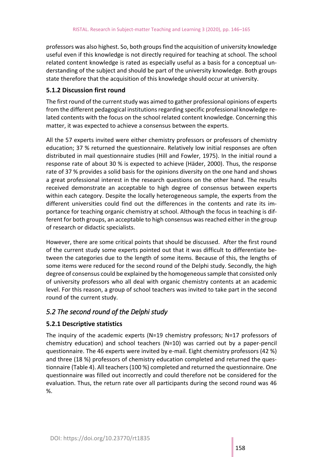professors was also highest. So, both groups find the acquisition of university knowledge useful even if this knowledge is not directly required for teaching at school. The school related content knowledge is rated as especially useful as a basis for a conceptual understanding of the subject and should be part of the university knowledge. Both groups state therefore that the acquisition of this knowledge should occur at university.

#### **5.1.2 Discussion first round**

The first round of the current study was aimed to gather professional opinions of experts from the different pedagogical institutions regarding specific professional knowledge related contents with the focus on the school related content knowledge. Concerning this matter, it was expected to achieve a consensus between the experts.

All the 57 experts invited were either chemistry professors or professors of chemistry education; 37 % returned the questionnaire. Relatively low initial responses are often distributed in mail questionnaire studies (Hill and Fowler, 1975). In the initial round a response rate of about 30 % is expected to achieve (Häder, 2000). Thus, the response rate of 37 % provides a solid basis for the opinions diversity on the one hand and shows a great professional interest in the research questions on the other hand. The results received demonstrate an acceptable to high degree of consensus between experts within each category. Despite the locally heterogeneous sample, the experts from the different universities could find out the differences in the contents and rate its importance for teaching organic chemistry at school. Although the focus in teaching is different for both groups, an acceptable to high consensus was reached either in the group of research or didactic specialists.

However, there are some critical points that should be discussed. After the first round of the current study some experts pointed out that it was difficult to differentiate between the categories due to the length of some items. Because of this, the lengths of some items were reduced for the second round of the Delphi study. Secondly, the high degree of consensus could be explained by the homogeneous sample that consisted only of university professors who all deal with organic chemistry contents at an academic level. For this reason, a group of school teachers was invited to take part in the second round of the current study.

#### *5.2 The second round of the Delphi study*

#### **5.2.1 Descriptive statistics**

The inquiry of the academic experts (N=19 chemistry professors; N=17 professors of chemistry education) and school teachers (N=10) was carried out by a paper-pencil questionnaire. The 46 experts were invited by e-mail. Eight chemistry professors (42 %) and three (18 %) professors of chemistry education completed and returned the questionnaire (Table 4). All teachers (100 %) completed and returned the questionnaire. One questionnaire was filled out incorrectly and could therefore not be considered for the evaluation. Thus, the return rate over all participants during the second round was 46 %.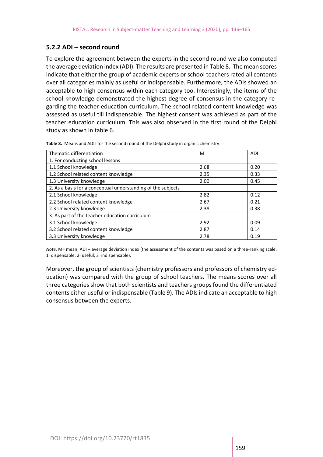#### **5.2.2 ADI – second round**

To explore the agreement between the experts in the second round we also computed the average deviation index (ADI). The results are presented in Table 8. The mean scores indicate that either the group of academic experts or school teachers rated all contents over all categories mainly as useful or indispensable. Furthermore, the ADIs showed an acceptable to high consensus within each category too. Interestingly, the items of the school knowledge demonstrated the highest degree of consensus in the category regarding the teacher education curriculum. The school related content knowledge was assessed as useful till indispensable. The highest consent was achieved as part of the teacher education curriculum. This was also observed in the first round of the Delphi study as shown in table 6.

Thematic differentiation and the state of the state of  $\vert$  M  $\vert$  ADI 1. For conducting school lessons 1.1 School knowledge 2.68 0.20 1.2 School related content knowledge 2.35 2.35 0.33 1.3 University knowledge 2.00 and 2.00 and 2.00 and 2.00 and 2.00 and 2.00 and 2.00 and 2.00 and 2.00 and 2.00 and 2.00 and 2.00 and 2.00 and 2.00 and 2.00 and 2.00 and 2.00 and 2.00 and 2.00 and 2.00 and 2.00 and 2.00 and 2. As a basis for a conceptual understanding of the subjects 2.1 School knowledge 2.82 0.12 2.2 School related content knowledge 2.67 2.67 0.21 2.3 University knowledge 2.3 University knowledge 2.38 3. As part of the teacher education curriculum 3.1 School knowledge 2.92 0.09 3.2 School related content knowledge 2.87 2.87 0.14 3.3 University knowledge 2.78 0.19

**Table 8.** Means and ADIs for the second round of the Delphi study in organic chemistry

*Note*. M= mean; ADI – average deviation index (the assessment of the contents was based on a three-ranking scale: 1=dispensable; 2=useful; 3=indispensable).

Moreover, the group of scientists (chemistry professors and professors of chemistry education) was compared with the group of school teachers. The means scores over all three categories show that both scientists and teachers groups found the differentiated contents either useful or indispensable (Table 9). The ADIs indicate an acceptable to high consensus between the experts.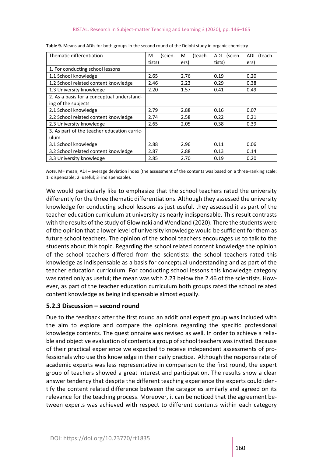| Thematic differentiation                    | М<br>(scien- | (teach-<br>м | <b>ADI</b><br>(scien- | <b>ADI</b><br>(teach- |
|---------------------------------------------|--------------|--------------|-----------------------|-----------------------|
|                                             | tists)       | ers)         | tists)                | ers)                  |
| 1. For conducting school lessons            |              |              |                       |                       |
| 1.1 School knowledge                        | 2.65         | 2.76         | 0.19                  | 0.20                  |
| 1.2 School related content knowledge        | 2.46         | 2.23         | 0.29                  | 0.38                  |
| 1.3 University knowledge                    | 2.20         | 1.57         | 0.41                  | 0.49                  |
| 2. As a basis for a conceptual understand-  |              |              |                       |                       |
| ing of the subjects                         |              |              |                       |                       |
| 2.1 School knowledge                        | 2.79         | 2.88         | 0.16                  | 0.07                  |
| 2.2 School related content knowledge        | 2.74         | 2.58         | 0.22                  | 0.21                  |
| 2.3 University knowledge                    | 2.65         | 2.05         | 0.38                  | 0.39                  |
| 3. As part of the teacher education curric- |              |              |                       |                       |
| ulum                                        |              |              |                       |                       |
| 3.1 School knowledge                        | 2.88         | 2.96         | 0.11                  | 0.06                  |
| 3.2 School related content knowledge        | 2.87         | 2.88         | 0.13                  | 0.14                  |
| 3.3 University knowledge                    | 2.85         | 2.70         | 0.19                  | 0.20                  |

**Table 9.** Means and ADIs for both groups in the second round of the Delphi study in organic chemistry

*Note*. M= mean; ADI – average deviation index (the assessment of the contents was based on a three-ranking scale: 1=dispensable; 2=useful; 3=indispensable).

We would particularly like to emphasize that the school teachers rated the university differently for the three thematic differentiations. Although they assessed the university knowledge for conducting school lessons as just useful, they assessed it as part of the teacher education curriculum at university as nearly indispensable. This result contrasts with the results of the study of Glowinski and Wendland (2020). There the students were of the opinion that a lower level of university knowledge would be sufficient for them as future school teachers. The opinion of the school teachers encourages us to talk to the students about this topic. Regarding the school related content knowledge the opinion of the school teachers differed from the scientists: the school teachers rated this knowledge as indispensable as a basis for conceptual understanding and as part of the teacher education curriculum. For conducting school lessons this knowledge category was rated only as useful; the mean was with 2.23 below the 2.46 of the scientists. However, as part of the teacher education curriculum both groups rated the school related content knowledge as being indispensable almost equally.

#### **5.2.3 Discussion – second round**

Due to the feedback after the first round an additional expert group was included with the aim to explore and compare the opinions regarding the specific professional knowledge contents. The questionnaire was revised as well. In order to achieve a reliable and objective evaluation of contents a group of school teachers was invited. Because of their practical experience we expected to receive independent assessments of professionals who use this knowledge in their daily practice. Although the response rate of academic experts was less representative in comparison to the first round, the expert group of teachers showed a great interest and participation. The results show a clear answer tendency that despite the different teaching experience the experts could identify the content related difference between the categories similarly and agreed on its relevance for the teaching process. Moreover, it can be noticed that the agreement between experts was achieved with respect to different contents within each category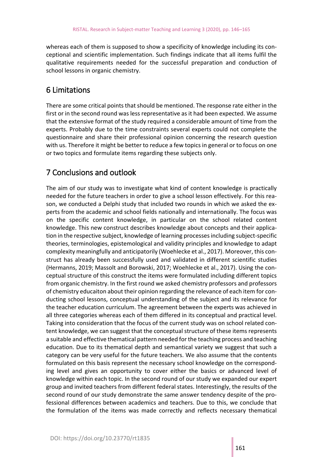whereas each of them is supposed to show a specificity of knowledge including its conceptional and scientific implementation. Such findings indicate that all items fulfil the qualitative requirements needed for the successful preparation and conduction of school lessons in organic chemistry.

#### 6 Limitations

There are some critical points that should be mentioned. The response rate either in the first or in the second round was less representative as it had been expected. We assume that the extensive format of the study required a considerable amount of time from the experts. Probably due to the time constraints several experts could not complete the questionnaire and share their professional opinion concerning the research question with us. Therefore it might be better to reduce a few topics in general or to focus on one or two topics and formulate items regarding these subjects only.

#### 7 Conclusions and outlook

The aim of our study was to investigate what kind of content knowledge is practically needed for the future teachers in order to give a school lesson effectively. For this reason, we conducted a Delphi study that included two rounds in which we asked the experts from the academic and school fields nationally and internationally. The focus was on the specific content knowledge, in particular on the school related content knowledge. This new construct describes knowledge about concepts and their application in the respective subject, knowledge of learning processes including subject-specific theories, terminologies, epistemological and validity principles and knowledge to adapt complexity meaningfully and anticipatorily (Woehlecke et al., 2017). Moreover, this construct has already been successfully used and validated in different scientific studies (Hermanns, 2019; Massolt and Borowski, 2017; Woehlecke et al., 2017). Using the conceptual structure of this construct the items were formulated including different topics from organic chemistry. In the first round we asked chemistry professors and professors of chemistry educaiton about their opinion regarding the relevance of each item for conducting school lessons, conceptual understanding of the subject and its relevance for the teacher education curriculum. The agreement between the experts was achieved in all three categories whereas each of them differed in its conceptual and practical level. Taking into consideration that the focus of the current study was on school related content knowledge, we can suggest that the conceptual structure of these items represents a suitable and effective thematical pattern needed for the teaching process and teaching education. Due to its thematical depth and semantical variety we suggest that such a category can be very useful for the future teachers. We also assume that the contents formulated on this basis represent the necessary school knowledge on the corresponding level and gives an opportunity to cover either the basics or advanced level of knowledge within each topic. In the second round of our study we expanded our expert group and invited teachers from different federal states. Interestingly, the results of the second round of our study demonstrate the same answer tendency despite of the professional differences between academics and teachers. Due to this, we conclude that the formulation of the items was made correctly and reflects necessary thematical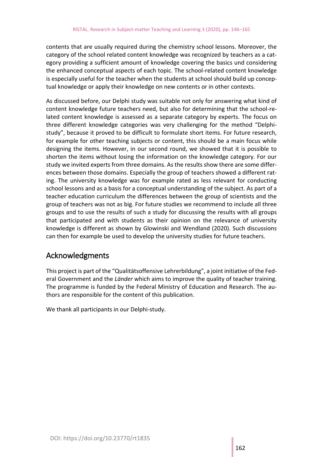contents that are usually required during the chemistry school lessons. Moreover, the category of the school related content knowledge was recognized by teachers as a category providing a sufficient amount of knowledge covering the basics und considering the enhanced conceptual aspects of each topic. The school-related content knowledge is especially useful for the teacher when the students at school should build up conceptual knowledge or apply their knowledge on new contents or in other contexts.

As discussed before, our Delphi study was suitable not only for answering what kind of content knowledge future teachers need, but also for determining that the school-related content knowledge is assessed as a separate category by experts. The focus on three different knowledge categories was very challenging for the method "Delphistudy", because it proved to be difficult to formulate short items. For future research, for example for other teaching subjects or content, this should be a main focus while designing the items. However, in our second round, we showed that it is possible to shorten the items without losing the information on the knowledge category. For our study we invited experts from three domains. As the results show there are some differences between those domains. Especially the group of teachers showed a different rating. The university knowledge was for example rated as less relevant for conducting school lessons and as a basis for a conceptual understanding of the subject. As part of a teacher education curriculum the differences between the group of scientists and the group of teachers was not as big. For future studies we recommend to include all three groups and to use the results of such a study for discussing the results with all groups that participated and with students as their opinion on the relevance of university knowledge is different as shown by Glowinski and Wendland (2020). Such discussions can then for example be used to develop the university studies for future teachers.

#### Acknowledgments

This project is part of the "Qualitätsoffensive Lehrerbildung", a joint initiative of the Federal Government and the *Länder* which aims to improve the quality of teacher training. The programme is funded by the Federal Ministry of Education and Research. The authors are responsible for the content of this publication.

We thank all participants in our Delphi-study.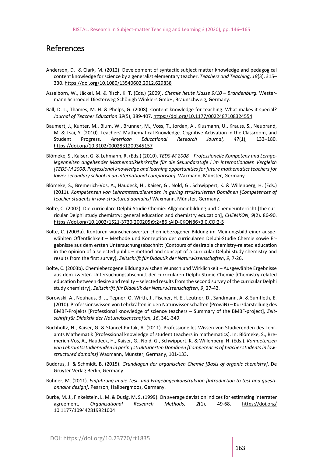#### References

- Anderson, D. & Clark, M. (2012). Development of syntactic subject matter knowledge and pedagogical content knowledge for science by a generalist elementary teacher. *Teachers and Teaching, 18*(3), 315– 330. https://doi.org/10.1080/13540602.2012.629838
- Asselborn, W., Jäckel, M. & Risch, K. T. (Eds.) (2009). *Chemie heute Klasse 9/10 – Brandenburg.* Westermann Schroedel Diesterweg Schönigh Winklers GmbH, Braunschweig, Germany.
- Ball, D. L., Thames, M. H. & Phelps, G. (2008). Content knowledge for teaching. What makes it special? *Journal of Teacher Education 39*(5), 389-407. https://doi.org/10.1177/0022487108324554
- Baumert, J., Kunter, M., Blum, W., Brunner, M., Voss, T., Jordan, A., Klusmann, U., Krauss, S., Neubrand, M. & Tsai, Y. (2010). Teachers' Mathematical Knowledge. Cognitive Activation in the Classroom, and Student Progress. *American Educational Research Journal, 47*(1), 133–180. https://doi.org/10.3102/0002831209345157
- Blömeke, S., Kaiser, G. & Lehmann, R. (Eds.) (2010). *TEDS-M 2008 – Professionelle Kompetenz und Lerngelegenheiten angehender Mathematiklehrkräfte für die Sekundarstufe I im internationalen Vergleich [TEDS-M 2008. Professional knowledge and learning opportunities for future mathematics teachers for lower secondary school in an international comparison]*. Waxmann, Münster, Germany.
- Blömeke, S., Bremerich-Vos, A., Haudeck, H., Kaiser, G., Nold, G., Schwippert, K. & Willenberg, H. (Eds.) (2011). *Kompetenzen von Lehramtsstudierenden in gering strukturierten Domänen [Competences of teacher students in low-structured domains]* Waxmann, Münster, Germany.
- Bolte, C. (2002). Die curriculare Delphi-Studie Chemie: Allgemeinbildung und Chemieunterricht [the curricular Delphi study chemistry: general education and chemistry education], *CHEMKON*, *9*(2)*,* 86-90. https://doi.org/10.1002/1521-3730(200205)9:2<86::AID-CKON86>3.0.CO;2-5
- Bolte, C. (2003a). Konturen wünschenswerter chemiebezogener Bildung im Meinungsbild einer ausgewählten Öffentlichkeit – Methode und Konzeption der curricularen Delphi-Studie Chemie sowie Ergebnisse aus dem ersten Untersuchungsabschnitt [Contours of desirable chemistry-related education in the opinion of a selected public – method and concept of a curricular Delphi study chemistry and results from the first survey], *Zeitschrift für Didaktik der Naturwissenschaften*, *9,* 7-26.
- Bolte, C. (2003b). Chemiebezogene Bildung zwischen Wunsch und Wirklichkeit Ausgewählte Ergebnisse aus dem zweiten Untersuchungsabschnitt der curricularen Delphi-Studie Chemie [Chemistry-related education between desire and reality – selected results from the second survey of the curricular Delphi study chemistry], *Zeitschrift für Didaktik der Naturwissenschaften*, *9*, 27-42.
- Borowski, A., Neuhaus, B. J., Tepner, O. Wirth, J., Fischer, H. E., Leutner, D., Sandmann, A. & Sumfleth, E. (2010). Professionswissen von Lehrkräften in den Naturwissenschaften (ProwiN) – Kurzdarstellung des BMBF-Projekts [Professional knowledge of science teachers – Summary of the BMBF-project], *Zeitschrift für Didaktik der Naturwissenschaften, 16*, 341-349.
- Buchholtz, N., Kaiser, G. & Stancel-Piqtak, A. (2011). Professionelles Wissen von Studierenden des Lehramts Mathematik [Professional knowledge of student teachers in mathematics]. In: Blömeke, S., Bremerich-Vos, A., Haudeck, H., Kaiser, G., Nold, G., Schwippert, K. & Willenberg, H. (Eds.). *Kompetenzen von Lehramtsstudierenden in gering strukturierten Domänen [Competences of teacher students in lowstructured domains]* Waxmann, Münster, Germany, 101-133.
- Buddrus, J. & Schmidt, B. (2015). *Grundlagen der organischen Chemie [Basis of organic chemistry]*. De Gruyter Verlag Berlin, Germany.
- Bühner, M. (2011). *Einführung in die Test- und Fragebogenkonstruktion [Introduction to test and questionnaire design]*. Pearson, Hallbergmoos, Germany.
- Burke, M. J., Finkelstein, L. M. & Dusig, M. S. (1999). On average deviation indices for estimating interrater agreement, *Organizational Research Methods, 2*(1)*,* 49-68. https://doi.org/ 10.1177/109442819921004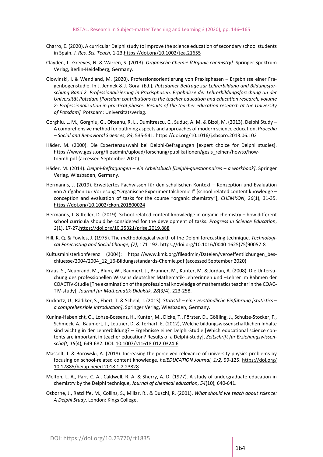- Charro, E. (2020). A curricular Delphi study to improve the science education of secondary school students in Spain. *J. Res. Sci. Teach*, 1-23.https://doi.org/10.1002/tea.21655
- Clayden, J., Greeves, N. & Warren, S. (2013). *Organische Chemie [Organic chemistry]*. Springer Spektrum Verlag, Berlin-Heidelberg, Germany.
- Glowinski, I. & Wendland, M. (2020). Professionsorientierung von Praxisphasen Ergebnisse einer Fragenbogenstudie. In J. Jennek & J. Goral (Ed.), *Potsdamer Beiträge zur Lehrerbildung und Bildungsforschung Band 2: Professionalisierung in Praxisphasen. Ergebnisse der Lehrerbildungsforschung an der Universität Potsdam [Potsdam contributions to the teacher education and education research, volume 2: Professionalisation in practical phases. Results of the teacher education research at the University of Potsdam].* Potsdam: Universitätsverlag.
- Gorghiu, L. M., Gorghiu, G., Olteanu, R. L., Dumitrescu, C., Suduc, A. M. & Bizoi, M. (2013). Delphi Study A comprehensive method for outlining aspects and approaches of modern science education, *Procedia – Social and Behavioral Sciences*, *83*, 535-541. https://doi.org/10.1016/j.sbspro.2013.06.102
- Häder, M. (2000). Die Expertenauswahl bei Delphi-Befragungen [expert choice for Delphi studies]. https://www.gesis.org/fileadmin/upload/forschung/publikationen/gesis\_reihen/howto/howto5mh.pdf (accessed September 2020)
- Häder, M. (2014). *Delphi-Befragungen – ein Arbeitsbuch [Delphi-questionnaires – a workbook]*. Springer Verlag, Wiesbaden, Germany.
- Hermanns, J. (2019). Erweitertes Fachwissen für den schulischen Kontext Konzeption und Evaluation von Aufgaben zur Vorlesung "Organische Experimentalchemie I" [school related content knowledge – conception and evaluation of tasks for the course "organic chemistry"], *CHEMKON*, *26*(1)*,* 31-35. https://doi.org/10.1002/ckon.201800024
- Hermanns, J. & Keller, D. (2019). School-related content knowledge in organic chemistry how different school curricula should be considered for the development of tasks. *Progress in Science Education*, *2*(1), 17-27.https://doi.org/10.25321/prise.2019.888
- Hill, K. Q. & Fowles, J. (1975). The methodological worth of the Delphi forecasting technique. *Technological Forecasting and Social Change, (7)*, 171-192. https://doi.org/10.1016/0040-1625(75)90057-8
- Kultusministerkonferenz (2004): https://www.kmk.org/fileadmin/Dateien/veroeffentlichungen\_beschluesse/2004/2004\_12\_16-Bildungsstandards-Chemie.pdf (accessed September 2020)
- Kraus, S., Neubrand, M., Blum, W., Baumert, J., Brunner, M., Kunter, M. & Jordan, A. (2008). Die Untersuchung des professionellen Wissens deutscher Mathematik-Lehrerinnen und –Lehrer im Rahmen der COACTIV-Studie [The examination of the professional knowledge of mathematics teacher in the COAC-TIV-study], *Journal für Mathematik-Didaktik, 28*(3/4)*,* 223-258.
- Kuckartz, U., Rädiker, S., Ebert, T. & Schehl, J. (2013). *Statistik – eine verständliche Einführung [statistics – a comprehensible introduction]*, Springer Verlag, Wiesbaden, Germany.
- Kunina-Habenicht, O., Lohse-Bossenz, H., Kunter, M., Dicke, T., Förster, D., Gößling, J., Schulze-Stocker, F., Schmeck, A., Baumert, J., Leutner, D. & Terhart, E. (2012), Welche bildungswissenschaftlichen Inhalte sind wichtig in der Lehrerbildung? – Ergebnisse einer Delphi-Studie [Which educational science contents are important in teacher education? Results of a Delphi-study], *Zeitschrift für Erziehungswissenschaft, 15*(4)*,* 649-682. DOI: 10.1007/s11618-012-0324-6
- Massolt, J. & Borowski, A. (2018). Increasing the perceived relevance of university physics problems by focusing on school-related content knowledge, *heiEDUCATION Journal, 1/2,* 99-125. https://doi.org/ 10.17885/heiup.heied.2018.1-2.23828
- Melton, L. A., Parr, C. A., Caldwell, R. A. & Sherry, A. D. (1977). A study of undergraduate education in chemistry by the Delphi technique, *Journal of chemical education*, *54*(10)*,* 640-641.
- Osborne, J., Ratcliffe, M., Collins, S., Millar, R., & Duschl, R. (2001). *What should we teach about science: A Delphi Study*. London: Kings College.